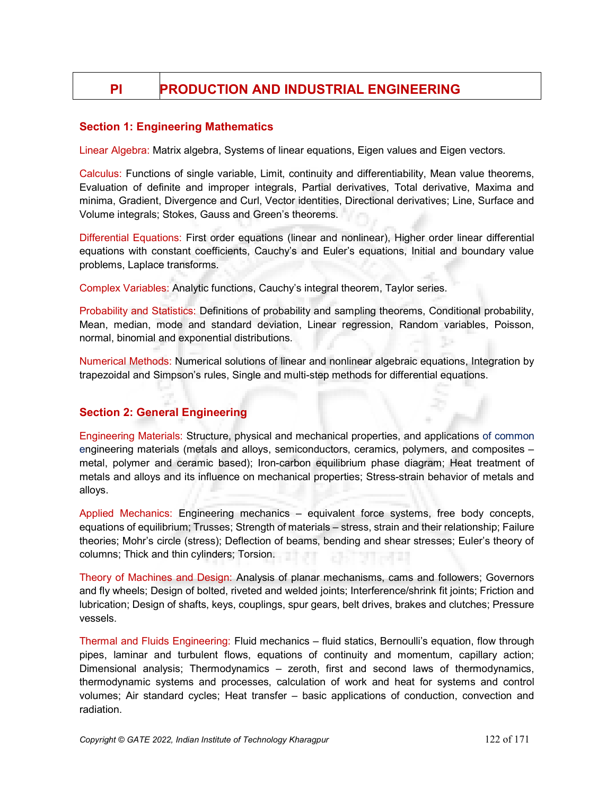# PI PRODUCTION AND INDUSTRIAL ENGINEERING

### Section 1: Engineering Mathematics

Linear Algebra: Matrix algebra, Systems of linear equations, Eigen values and Eigen vectors.

Calculus: Functions of single variable, Limit, continuity and differentiability, Mean value theorems, Evaluation of definite and improper integrals, Partial derivatives, Total derivative, Maxima and minima, Gradient, Divergence and Curl, Vector identities, Directional derivatives; Line, Surface and Volume integrals; Stokes, Gauss and Green's theorems.

Differential Equations: First order equations (linear and nonlinear), Higher order linear differential equations with constant coefficients, Cauchy's and Euler's equations, Initial and boundary value problems, Laplace transforms.

Complex Variables: Analytic functions, Cauchy's integral theorem, Taylor series.

Probability and Statistics: Definitions of probability and sampling theorems, Conditional probability, Mean, median, mode and standard deviation, Linear regression, Random variables, Poisson, normal, binomial and exponential distributions.

Numerical Methods: Numerical solutions of linear and nonlinear algebraic equations, Integration by trapezoidal and Simpson's rules, Single and multi-step methods for differential equations.

# Section 2: General Engineering

Engineering Materials: Structure, physical and mechanical properties, and applications of common engineering materials (metals and alloys, semiconductors, ceramics, polymers, and composites – metal, polymer and ceramic based); Iron-carbon equilibrium phase diagram; Heat treatment of metals and alloys and its influence on mechanical properties; Stress-strain behavior of metals and alloys.

Applied Mechanics: Engineering mechanics – equivalent force systems, free body concepts, equations of equilibrium; Trusses; Strength of materials – stress, strain and their relationship; Failure theories; Mohr's circle (stress); Deflection of beams, bending and shear stresses; Euler's theory of columns; Thick and thin cylinders; Torsion.

Theory of Machines and Design: Analysis of planar mechanisms, cams and followers; Governors and fly wheels; Design of bolted, riveted and welded joints; Interference/shrink fit joints; Friction and lubrication; Design of shafts, keys, couplings, spur gears, belt drives, brakes and clutches; Pressure vessels.

Thermal and Fluids Engineering: Fluid mechanics – fluid statics, Bernoulli's equation, flow through pipes, laminar and turbulent flows, equations of continuity and momentum, capillary action; Dimensional analysis; Thermodynamics – zeroth, first and second laws of thermodynamics, thermodynamic systems and processes, calculation of work and heat for systems and control volumes; Air standard cycles; Heat transfer – basic applications of conduction, convection and radiation.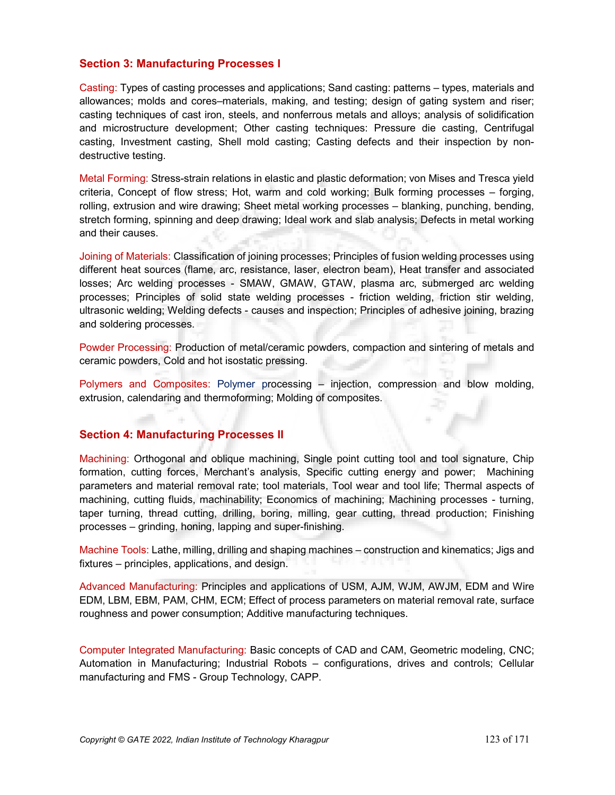#### Section 3: Manufacturing Processes I

Casting: Types of casting processes and applications; Sand casting: patterns – types, materials and allowances; molds and cores–materials, making, and testing; design of gating system and riser; casting techniques of cast iron, steels, and nonferrous metals and alloys; analysis of solidification and microstructure development; Other casting techniques: Pressure die casting, Centrifugal casting, Investment casting, Shell mold casting; Casting defects and their inspection by nondestructive testing.

Metal Forming: Stress-strain relations in elastic and plastic deformation; von Mises and Tresca yield criteria, Concept of flow stress; Hot, warm and cold working; Bulk forming processes – forging, rolling, extrusion and wire drawing; Sheet metal working processes – blanking, punching, bending, stretch forming, spinning and deep drawing; Ideal work and slab analysis; Defects in metal working and their causes.

Joining of Materials: Classification of joining processes; Principles of fusion welding processes using different heat sources (flame, arc, resistance, laser, electron beam), Heat transfer and associated losses; Arc welding processes - SMAW, GMAW, GTAW, plasma arc, submerged arc welding processes; Principles of solid state welding processes - friction welding, friction stir welding, ultrasonic welding; Welding defects - causes and inspection; Principles of adhesive joining, brazing and soldering processes.

Powder Processing: Production of metal/ceramic powders, compaction and sintering of metals and ceramic powders, Cold and hot isostatic pressing.

Polymers and Composites: Polymer processing – injection, compression and blow molding, extrusion, calendaring and thermoforming; Molding of composites.

#### Section 4: Manufacturing Processes II

Machining: Orthogonal and oblique machining, Single point cutting tool and tool signature, Chip formation, cutting forces, Merchant's analysis, Specific cutting energy and power; Machining parameters and material removal rate; tool materials, Tool wear and tool life; Thermal aspects of machining, cutting fluids, machinability; Economics of machining; Machining processes - turning, taper turning, thread cutting, drilling, boring, milling, gear cutting, thread production; Finishing processes – grinding, honing, lapping and super-finishing.

Machine Tools: Lathe, milling, drilling and shaping machines – construction and kinematics; Jigs and fixtures – principles, applications, and design.

Advanced Manufacturing: Principles and applications of USM, AJM, WJM, AWJM, EDM and Wire EDM, LBM, EBM, PAM, CHM, ECM; Effect of process parameters on material removal rate, surface roughness and power consumption; Additive manufacturing techniques.

Computer Integrated Manufacturing: Basic concepts of CAD and CAM, Geometric modeling, CNC; Automation in Manufacturing; Industrial Robots – configurations, drives and controls; Cellular manufacturing and FMS - Group Technology, CAPP.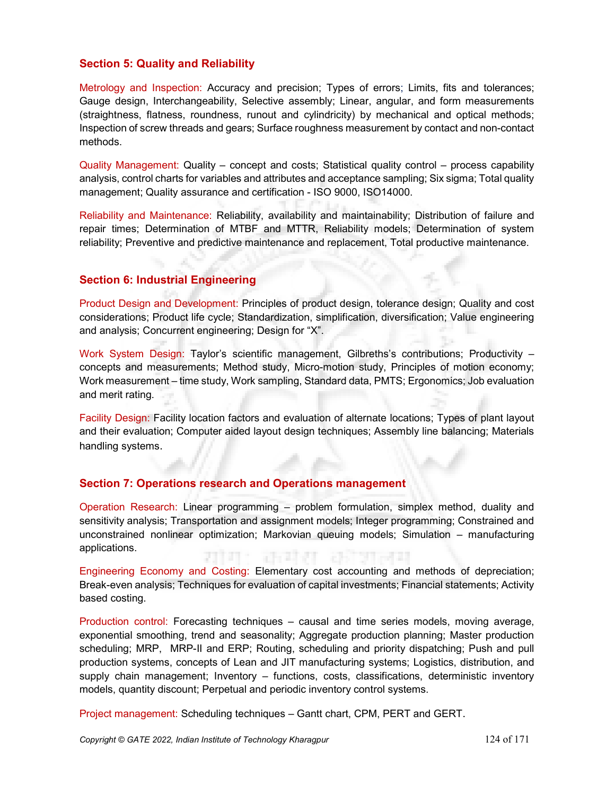# Section 5: Quality and Reliability

Metrology and Inspection: Accuracy and precision; Types of errors; Limits, fits and tolerances; Gauge design, Interchangeability, Selective assembly; Linear, angular, and form measurements (straightness, flatness, roundness, runout and cylindricity) by mechanical and optical methods; Inspection of screw threads and gears; Surface roughness measurement by contact and non-contact methods.

Quality Management: Quality – concept and costs; Statistical quality control – process capability analysis, control charts for variables and attributes and acceptance sampling; Six sigma; Total quality management; Quality assurance and certification - ISO 9000, ISO14000.

Reliability and Maintenance: Reliability, availability and maintainability; Distribution of failure and repair times; Determination of MTBF and MTTR, Reliability models; Determination of system reliability; Preventive and predictive maintenance and replacement, Total productive maintenance.

# Section 6: Industrial Engineering

Product Design and Development: Principles of product design, tolerance design; Quality and cost considerations; Product life cycle; Standardization, simplification, diversification; Value engineering and analysis; Concurrent engineering; Design for "X".

Work System Design: Taylor's scientific management, Gilbreths's contributions; Productivity – concepts and measurements; Method study, Micro-motion study, Principles of motion economy; Work measurement – time study, Work sampling, Standard data, PMTS; Ergonomics; Job evaluation and merit rating.

Facility Design: Facility location factors and evaluation of alternate locations; Types of plant layout and their evaluation; Computer aided layout design techniques; Assembly line balancing; Materials handling systems.

# Section 7: Operations research and Operations management

Operation Research: Linear programming – problem formulation, simplex method, duality and sensitivity analysis; Transportation and assignment models; Integer programming; Constrained and unconstrained nonlinear optimization; Markovian queuing models; Simulation – manufacturing applications.

Engineering Economy and Costing: Elementary cost accounting and methods of depreciation; Break-even analysis; Techniques for evaluation of capital investments; Financial statements; Activity based costing.

Production control: Forecasting techniques – causal and time series models, moving average, exponential smoothing, trend and seasonality; Aggregate production planning; Master production scheduling; MRP, MRP-II and ERP; Routing, scheduling and priority dispatching; Push and pull production systems, concepts of Lean and JIT manufacturing systems; Logistics, distribution, and supply chain management; Inventory – functions, costs, classifications, deterministic inventory models, quantity discount; Perpetual and periodic inventory control systems.

Project management: Scheduling techniques – Gantt chart, CPM, PERT and GERT.